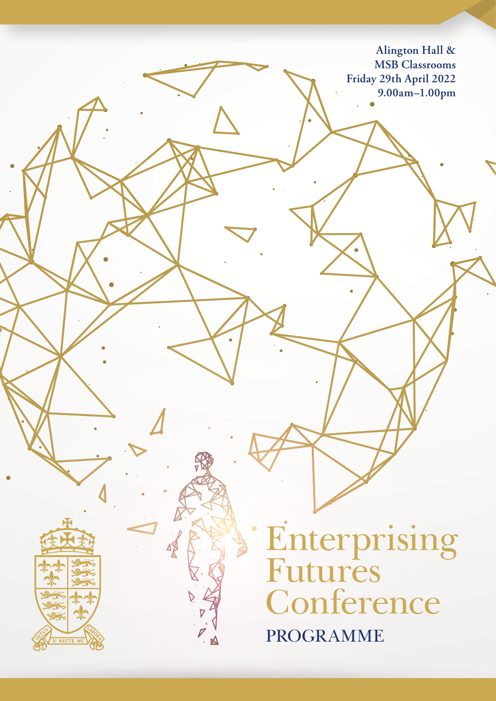**Alington Hall & MSB Classrooms Friday 29th April 2022 9.00am–1.00pm**

**Enterprising** Futures **Conference** PROGRAMME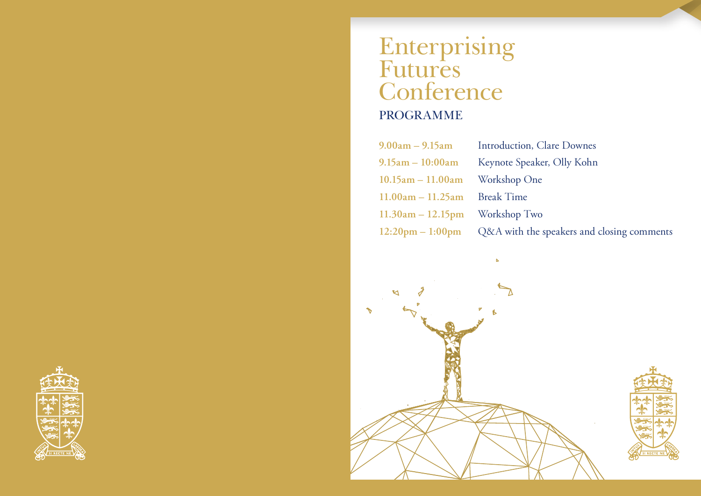### Enterprising Futures **Conference** PROGRAMME

**9.00am – 9.15am** Introduction, Clare Downes **9.15am – 10:00am** Keynote Speaker, Olly Kohn **10.15am – 11.00am** Workshop One **11.00am – 11.25am** Break Time **11.30am – 12.15pm** Workshop Two **12:20pm – 1:00pm** Q&A with the speakers and closing comments



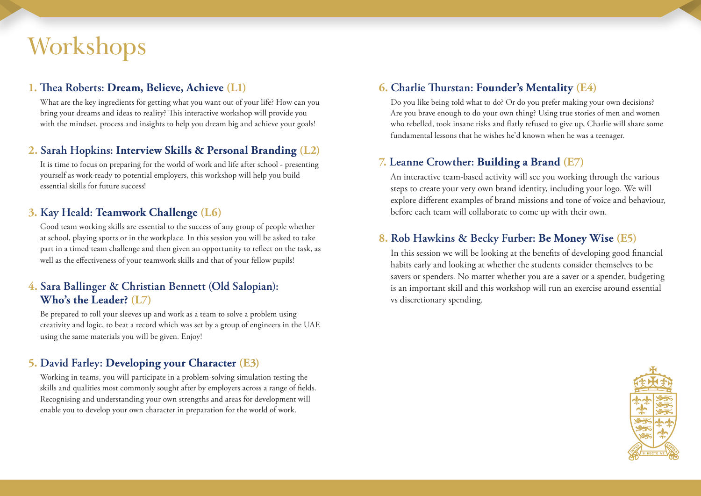# Workshops

### **1. Thea Roberts: Dream, Believe, Achieve (L1)**

What are the key ingredients for getting what you want out of your life? How can you bring your dreams and ideas to reality? This interactive workshop will provide you with the mindset, process and insights to help you dream big and achieve your goals!

### **2. Sarah Hopkins: Interview Skills & Personal Branding (L2)**

It is time to focus on preparing for the world of work and life after school - presenting yourself as work-ready to potential employers, this workshop will help you build essential skills for future success!

### **3. Kay Heald: Teamwork Challenge (L6)**

Good team working skills are essential to the success of any group of people whether at school, playing sports or in the workplace. In this session you will be asked to take part in a timed team challenge and then given an opportunity to reflect on the task, as well as the effectiveness of your teamwork skills and that of your fellow pupils!

### **4. Sara Ballinger & Christian Bennett (Old Salopian): Who's the Leader? (L7)**

Be prepared to roll your sleeves up and work as a team to solve a problem using creativity and logic, to beat a record which was set by a group of engineers in the UAE using the same materials you will be given. Enjoy!

### **5. David Farley: Developing your Character (E3)**

Working in teams, you will participate in a problem-solving simulation testing the skills and qualities most commonly sought after by employers across a range of fields. Recognising and understanding your own strengths and areas for development will enable you to develop your own character in preparation for the world of work.

### **6. Charlie Thurstan: Founder's Mentality (E4)**

Do you like being told what to do? Or do you prefer making your own decisions? Are you brave enough to do your own thing? Using true stories of men and women who rebelled, took insane risks and flatly refused to give up, Charlie will share some fundamental lessons that he wishes he'd known when he was a teenager.

### **7. Leanne Crowther: Building a Brand (E7)**

An interactive team-based activity will see you working through the various steps to create your very own brand identity, including your logo. We will explore different examples of brand missions and tone of voice and behaviour, before each team will collaborate to come up with their own.

### **8. Rob Hawkins & Becky Furber: Be Money Wise (E5)**

In this session we will be looking at the benefits of developing good financial habits early and looking at whether the students consider themselves to be savers or spenders. No matter whether you are a saver or a spender, budgeting is an important skill and this workshop will run an exercise around essential vs discretionary spending.

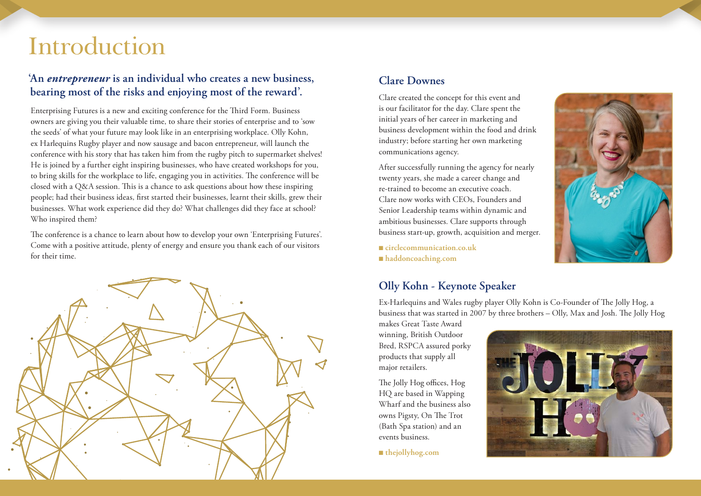## Introduction

### **'An** *entrepreneur* **is an individual who creates a new business, bearing most of the risks and enjoying most of the reward'.**

Enterprising Futures is a new and exciting conference for the Third Form. Business owners are giving you their valuable time, to share their stories of enterprise and to 'sow the seeds' of what your future may look like in an enterprising workplace. Olly Kohn, ex Harlequins Rugby player and now sausage and bacon entrepreneur, will launch the conference with his story that has taken him from the rugby pitch to supermarket shelves! He is joined by a further eight inspiring businesses, who have created workshops for you, to bring skills for the workplace to life, engaging you in activities. The conference will be closed with a Q&A session. This is a chance to ask questions about how these inspiring people; had their business ideas, first started their businesses, learnt their skills, grew their businesses. What work experience did they do? What challenges did they face at school? Who inspired them?

The conference is a chance to learn about how to develop your own 'Enterprising Futures'. Come with a positive attitude, plenty of energy and ensure you thank each of our visitors for their time.



### **Clare Downes**

Clare created the concept for this event and is our facilitator for the day. Clare spent the initial years of her career in marketing and business development within the food and drink industry; before starting her own marketing communications agency.

After successfully running the agency for nearly twenty years, she made a career change and re-trained to become an executive coach. Clare now works with CEOs, Founders and Senior Leadership teams within dynamic and ambitious businesses. Clare supports through business start-up, growth, acquisition and merger.

■ circlecommunication.co.uk <sup>n</sup> **haddoncoaching.com**

### **Olly Kohn - Keynote Speaker**

Ex-Harlequins and Wales rugby player Olly Kohn is Co-Founder of The Jolly Hog, a business that was started in 2007 by three brothers – Olly, Max and Josh. The Jolly Hog

makes Great Taste Award winning, British Outdoor Bred, RSPCA assured porky products that supply all major retailers.

The Jolly Hog offices, Hog HQ are based in Wapping Wharf and the business also owns Pigsty, On The Trot (Bath Spa station) and an events business.

■ thejollyhog.com



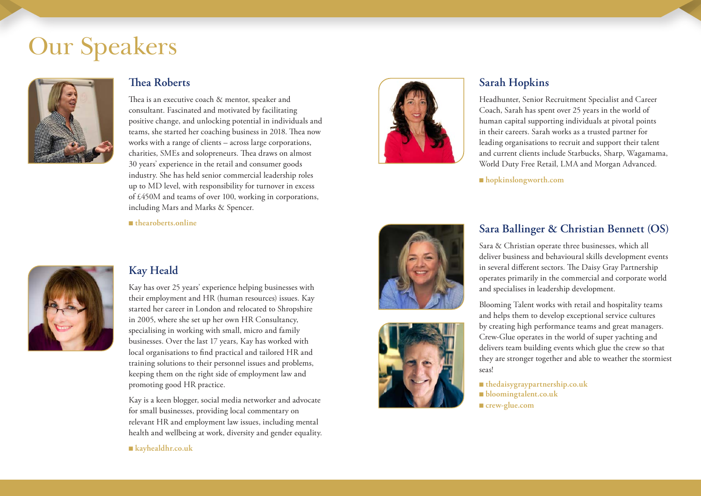## Our Speakers



#### **Thea Roberts**

Thea is an executive coach & mentor, speaker and consultant. Fascinated and motivated by facilitating positive change, and unlocking potential in individuals and teams, she started her coaching business in 2018. Thea now works with a range of clients – across large corporations, charities, SMEs and solopreneurs. Thea draws on almost 30 years' experience in the retail and consumer goods industry. She has held senior commercial leadership roles up to MD level, with responsibility for turnover in excess of £450M and teams of over 100, working in corporations, including Mars and Marks & Spencer.



### **Sarah Hopkins**

Headhunter, Senior Recruitment Specialist and Career Coach, Sarah has spent over 25 years in the world of human capital supporting individuals at pivotal points in their careers. Sarah works as a trusted partner for leading organisations to recruit and support their talent and current clients include Starbucks, Sharp, Wagamama, World Duty Free Retail, LMA and Morgan Advanced.

<sup>n</sup> **hopkinslongworth.com**

<sup>n</sup> **thearoberts.online**



### **Kay Heald**

Kay has over 25 years' experience helping businesses with their employment and HR (human resources) issues. Kay started her career in London and relocated to Shropshire in 2005, where she set up her own HR Consultancy, specialising in working with small, micro and family businesses. Over the last 17 years, Kay has worked with local organisations to find practical and tailored HR and training solutions to their personnel issues and problems, keeping them on the right side of employment law and promoting good HR practice.

Kay is a keen blogger, social media networker and advocate for small businesses, providing local commentary on relevant HR and employment law issues, including mental health and wellbeing at work, diversity and gender equality.

<sup>n</sup> **kayhealdhr.co.uk**





### **Sara Ballinger & Christian Bennett (OS)**

Sara & Christian operate three businesses, which all deliver business and behavioural skills development events in several different sectors. The Daisy Gray Partnership operates primarily in the commercial and corporate world and specialises in leadership development.

Blooming Talent works with retail and hospitality teams and helps them to develop exceptional service cultures by creating high performance teams and great managers. Crew-Glue operates in the world of super yachting and delivers team building events which glue the crew so that they are stronger together and able to weather the stormiest seas!

<sup>n</sup> **thedaisygraypartnership.co.uk** <sup>n</sup> **bloomingtalent.co.uk** ■ crew-glue.com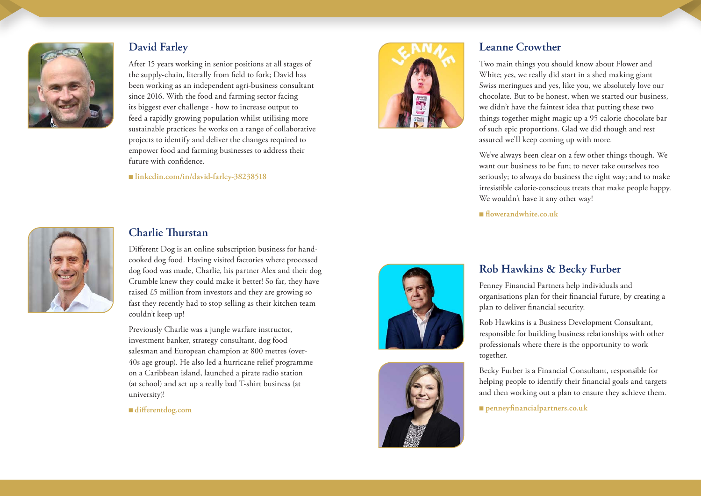

### **David Farley**

After 15 years working in senior positions at all stages of the supply-chain, literally from field to fork; David has been working as an independent agri-business consultant since 2016. With the food and farming sector facing its biggest ever challenge - how to increase output to feed a rapidly growing population whilst utilising more sustainable practices; he works on a range of collaborative projects to identify and deliver the changes required to empower food and farming businesses to address their future with confidence.

<sup>n</sup> **linkedin.com/in/david-farley-38238518**



#### **Leanne Crowther**

Two main things you should know about Flower and White; yes, we really did start in a shed making giant Swiss meringues and yes, like you, we absolutely love our chocolate. But to be honest, when we started our business, we didn't have the faintest idea that putting these two things together might magic up a 95 calorie chocolate bar of such epic proportions. Glad we did though and rest assured we'll keep coming up with more.

We've always been clear on a few other things though. We want our business to be fun; to never take ourselves too seriously; to always do business the right way; and to make irresistible calorie-conscious treats that make people happy. We wouldn't have it any other way!

<sup>n</sup> **flowerandwhite.co.uk** 



### **Charlie Thurstan**

Different Dog is an online subscription business for handcooked dog food. Having visited factories where processed dog food was made, Charlie, his partner Alex and their dog Crumble knew they could make it better! So far, they have raised £5 million from investors and they are growing so fast they recently had to stop selling as their kitchen team couldn't keep up!

Previously Charlie was a jungle warfare instructor, investment banker, strategy consultant, dog food salesman and European champion at 800 metres (over-40s age group). He also led a hurricane relief programme on a Caribbean island, launched a pirate radio station (at school) and set up a really bad T-shirt business (at university)!

#### <sup>n</sup>**differentdog.com**





### **Rob Hawkins & Becky Furber**

Penney Financial Partners help individuals and organisations plan for their financial future, by creating a plan to deliver financial security.

Rob Hawkins is a Business Development Consultant, responsible for building business relationships with other professionals where there is the opportunity to work together.

Becky Furber is a Financial Consultant, responsible for helping people to identify their financial goals and targets and then working out a plan to ensure they achieve them.

n **penneyfinancialpartners.co.uk**